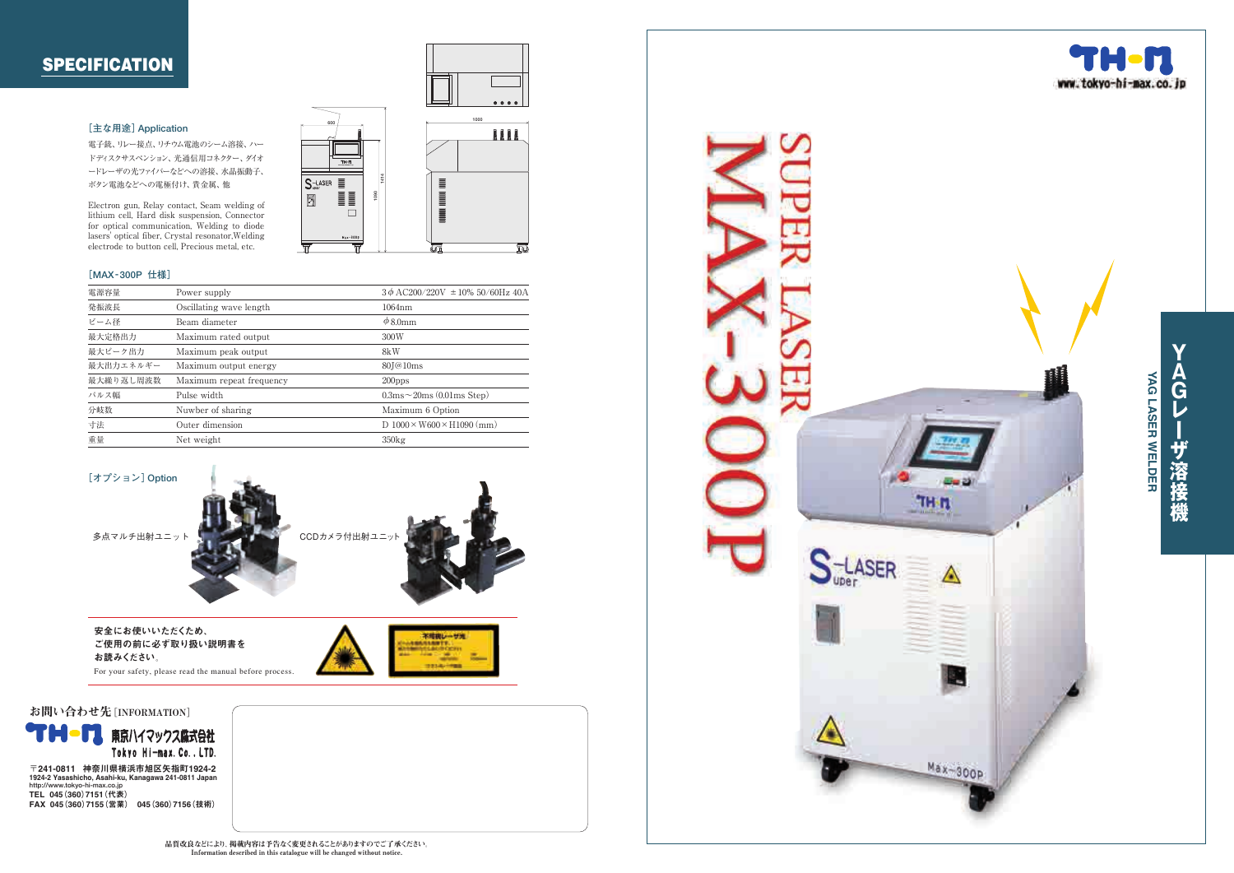## **SPECIFICATION**

#### **[主な用途]Application**

電子銃、 リレー接点、リチウム電池のシーム溶接、ハー ドディスクサスペンション、光通信用コネクター、 ダイオ ードレーザの光フ ァ イバーなどへの溶接、水晶振動子、 ボタン電池などへの電極付け、貴金属、 他

Electron gun, Relay contact, Seam welding of lithium cell, Hard disk suspension, Connector for optical communication, Welding to diode lasers' optical fiber, Crystal resonator,Welding electrode to button cell, Precious metal, etc.

#### **[MAX -300P 仕様]**

| 電源容量<br>Power supply<br>発振波長<br>Oscillating wave length<br>$1064$ nm<br>ビーム径<br>$\phi$ 8.0mm<br>Beam diameter<br>最大定格出力<br>Maximum rated output<br>300W<br>最大ピーク出力<br>Maximum peak output<br>8kW<br>最大出力エネルギー<br>Maximum output energy<br>80 <sub>J</sub> @10 <sub>ms</sub><br>最大繰り返し周波数<br>Maximum repeat frequency<br>$200$ pps<br>$0.3 \text{ms} \sim 20 \text{ms}$ (0.01 ms Step)<br>パルス幅<br>Pulse width<br>分岐数<br>Nuwber of sharing<br>Maximum 6 Option<br>寸法<br>Outer dimension<br>重量<br>Net weight<br>350kg |  |                                          |
|--------------------------------------------------------------------------------------------------------------------------------------------------------------------------------------------------------------------------------------------------------------------------------------------------------------------------------------------------------------------------------------------------------------------------------------------------------------------------------------------------------------------|--|------------------------------------------|
|                                                                                                                                                                                                                                                                                                                                                                                                                                                                                                                    |  | $3\phi$ AC200/220V $\pm$ 10% 50/60Hz 40A |
|                                                                                                                                                                                                                                                                                                                                                                                                                                                                                                                    |  |                                          |
|                                                                                                                                                                                                                                                                                                                                                                                                                                                                                                                    |  |                                          |
|                                                                                                                                                                                                                                                                                                                                                                                                                                                                                                                    |  |                                          |
|                                                                                                                                                                                                                                                                                                                                                                                                                                                                                                                    |  |                                          |
|                                                                                                                                                                                                                                                                                                                                                                                                                                                                                                                    |  |                                          |
|                                                                                                                                                                                                                                                                                                                                                                                                                                                                                                                    |  |                                          |
|                                                                                                                                                                                                                                                                                                                                                                                                                                                                                                                    |  |                                          |
|                                                                                                                                                                                                                                                                                                                                                                                                                                                                                                                    |  |                                          |
|                                                                                                                                                                                                                                                                                                                                                                                                                                                                                                                    |  | D $1000 \times W600 \times H1090$ (mm)   |
|                                                                                                                                                                                                                                                                                                                                                                                                                                                                                                                    |  |                                          |



ご使用の前に必ず取り扱い説明書を お読みください。

For your safety, please read the manual before process.





**YAGレーザ溶接機**

ザ溶接機

 $\overline{\mathbf{v}}$ 

G レ